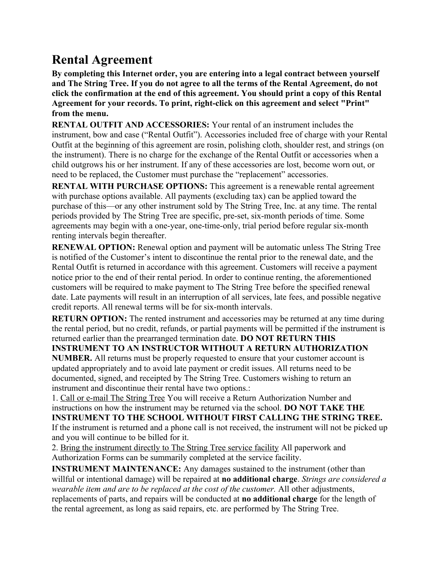## **Rental Agreement**

**By completing this Internet order, you are entering into a legal contract between yourself and The String Tree. If you do not agree to all the terms of the Rental Agreement, do not click the confirmation at the end of this agreement. You should print a copy of this Rental Agreement for your records. To print, right-click on this agreement and select "Print" from the menu.** 

**RENTAL OUTFIT AND ACCESSORIES:** Your rental of an instrument includes the instrument, bow and case ("Rental Outfit"). Accessories included free of charge with your Rental Outfit at the beginning of this agreement are rosin, polishing cloth, shoulder rest, and strings (on the instrument). There is no charge for the exchange of the Rental Outfit or accessories when a child outgrows his or her instrument. If any of these accessories are lost, become worn out, or need to be replaced, the Customer must purchase the "replacement" accessories.

**RENTAL WITH PURCHASE OPTIONS:** This agreement is a renewable rental agreement with purchase options available. All payments (excluding tax) can be applied toward the purchase of this—or any other instrument sold by The String Tree, Inc. at any time. The rental periods provided by The String Tree are specific, pre-set, six-month periods of time. Some agreements may begin with a one-year, one-time-only, trial period before regular six-month renting intervals begin thereafter.

**RENEWAL OPTION:** Renewal option and payment will be automatic unless The String Tree is notified of the Customer's intent to discontinue the rental prior to the renewal date, and the Rental Outfit is returned in accordance with this agreement. Customers will receive a payment notice prior to the end of their rental period. In order to continue renting, the aforementioned customers will be required to make payment to The String Tree before the specified renewal date. Late payments will result in an interruption of all services, late fees, and possible negative credit reports. All renewal terms will be for six-month intervals.

**RETURN OPTION:** The rented instrument and accessories may be returned at any time during the rental period, but no credit, refunds, or partial payments will be permitted if the instrument is returned earlier than the prearranged termination date. **DO NOT RETURN THIS** 

**INSTRUMENT TO AN INSTRUCTOR WITHOUT A RETURN AUTHORIZATION** 

**NUMBER.** All returns must be properly requested to ensure that your customer account is updated appropriately and to avoid late payment or credit issues. All returns need to be documented, signed, and receipted by The String Tree. Customers wishing to return an instrument and discontinue their rental have two options.:

1. Call or e-mail The String Tree You will receive a Return Authorization Number and instructions on how the instrument may be returned via the school. **DO NOT TAKE THE INSTRUMENT TO THE SCHOOL WITHOUT FIRST CALLING THE STRING TREE.** If the instrument is returned and a phone call is not received, the instrument will not be picked up and you will continue to be billed for it.

2. Bring the instrument directly to The String Tree service facility All paperwork and Authorization Forms can be summarily completed at the service facility.

**INSTRUMENT MAINTENANCE:** Any damages sustained to the instrument (other than willful or intentional damage) will be repaired at **no additional charge**. *Strings are considered a wearable item and are to be replaced at the cost of the customer.* All other adjustments, replacements of parts, and repairs will be conducted at **no additional charge** for the length of the rental agreement, as long as said repairs, etc. are performed by The String Tree.